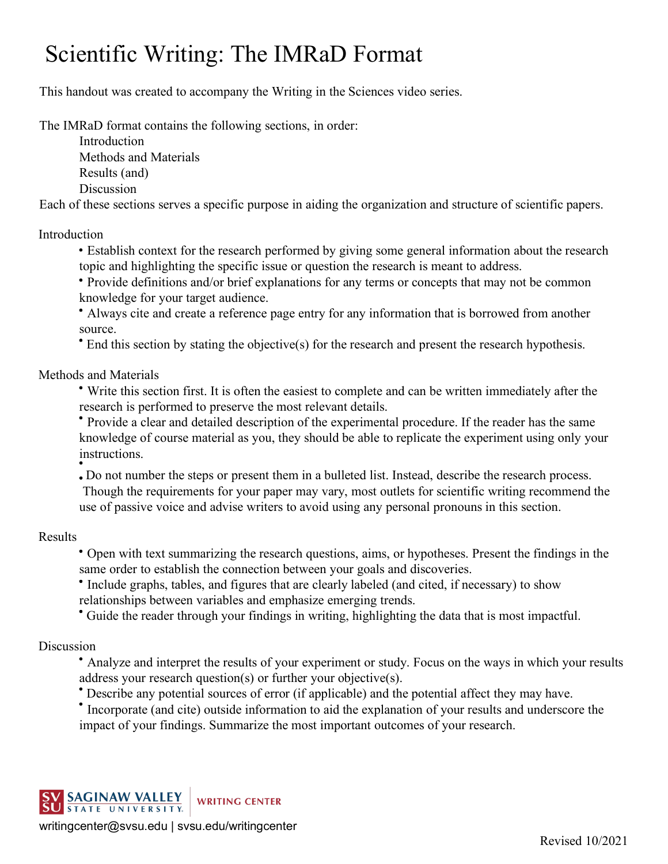## Scientific Writing: The IMRaD Format

This handout was created to accompany the Writing in the Sciences video series.

The IMRaD format contains the following sections, in order:

Introduction Methods and Materials

Results (and)

Discussion

Each of these sections serves a specific purpose in aiding the organization and structure of scientific papers.

## Introduction

Establish context for the research performed by giving some general information about the research topic and highlighting the specific issue or question the research is meant to address.

Provide definitions and/or brief explanations for any terms or concepts that may not be common knowledge for your target audience.

Always cite and create a reference page entry for any information that is borrowed from another source.

End this section by stating the objective(s) for the research and present the research hypothesis.

Methods and Materials

Write this section first. It is often the easiest to complete and can be written immediately after the research is performed to preserve the most relevant details.

Provide a clear and detailed description of the experimental procedure. If the reader has the same knowledge of course material as you, they should be able to replicate the experiment using only your instructions.

Do not number the steps or present them in a bulleted list. Instead, describe the research process. Though the requirements for your paper may vary, most outlets for scientific writing recommend the use of passive voice and advise writers to avoid using any personal pronouns in this section.

## Results

Open with text summarizing the research questions, aims, or hypotheses. Present the findings in the same order to establish the connection between your goals and discoveries.

Include graphs, tables, and figures that are clearly labeled (and cited, if necessary) to show relationships between variables and emphasize emerging trends.

Guide the reader through your findings in writing, highlighting the data that is most impactful.

## Discussion

- Analyze and interpret the results of your experiment or study. Focus on the ways in which your results address your research question(s) or further your objective(s).
- Describe any potential sources of error (if applicable) and the potential affect they may have.
- Incorporate (and cite) outside information to aid the explanation of your results and underscore the impact of your findings. Summarize the most important outcomes of your research.



[writingcenter@svsu.edu](mailto:writingcenter@svsu.edu) | svsu.edu/writingcenter